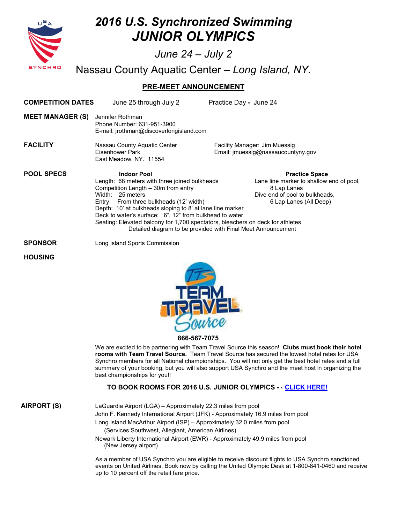



**866-567-7075** 

We are excited to be partnering with Team Travel Source this season! **Clubs must book their hotel rooms with Team Travel Source.** Team Travel Source has secured the lowest hotel rates for USA Synchro members for all National championships. You will not only get the best hotel rates and a full summary of your booking, but you will also support USA Synchro and the meet host in organizing the best championships for you!!

## **TO BOOK ROOMS FOR 2016 U.S. JUNIOR OLYMPICS - [- CLICK HERE!](https://resweb.passkey.com/Resweb.do?mode=welcome_ei_new&eventID=14412357)**

**AIRPORT (S)** LaGuardia Airport (LGA) – Approximately 22.3 miles from pool John F. Kennedy International Airport (JFK) - Approximately 16.9 miles from pool Long Island MacArthur Airport (ISP) – Approximately 32.0 miles from pool (Services Southwest, Allegiant, American Airlines)

Newark Liberty International Airport (EWR) - Approximately 49.9 miles from pool (New Jersey airport)

As a member of USA Synchro you are eligible to receive discount flights to USA Synchro sanctioned events on United Airlines. Book now by calling the United Olympic Desk at 1-800-841-0460 and receive up to 10 percent off the retail fare price.